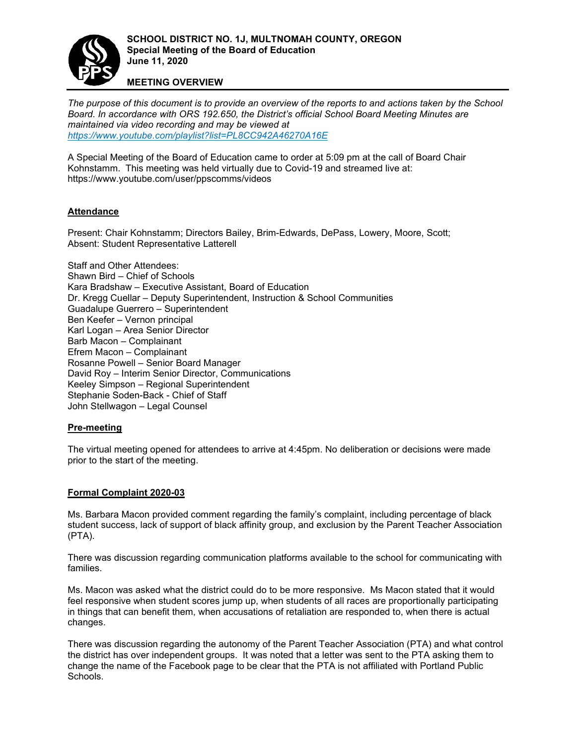

### **MEETING OVERVIEW**

*The purpose of this document is to provide an overview of the reports to and actions taken by the School Board. In accordance with ORS 192.650, the District['s official School Board Meeting Minutes are](https://www.youtube.com/playlist?list=PL8CC942A46270A16E)  maintained via video recording and may be viewed at <https://www.youtube.com/playlist?list=PL8CC942A46270A16E>*

A Special Meeting of the Board of Education came to order at 5:09 pm at the call of Board Chair Kohnstamm. This meeting was held virtually due to Covid-19 and streamed live at: https://www.youtube.com/user/ppscomms/videos

### **Attendance**

Present: Chair Kohnstamm; Directors Bailey, Brim-Edwards, DePass, Lowery, Moore, Scott; Absent: Student Representative Latterell

Staff and Other Attendees: Shawn Bird – Chief of Schools Kara Bradshaw – Executive Assistant, Board of Education Dr. Kregg Cuellar – Deputy Superintendent, Instruction & School Communities Guadalupe Guerrero – Superintendent Ben Keefer – Vernon principal Karl Logan – Area Senior Director Barb Macon – Complainant Efrem Macon – Complainant Rosanne Powell – Senior Board Manager David Roy – Interim Senior Director, Communications Keeley Simpson – Regional Superintendent Stephanie Soden-Back - Chief of Staff John Stellwagon – Legal Counsel

#### **Pre-meeting**

The virtual meeting opened for attendees to arrive at 4:45pm. No deliberation or decisions were made prior to the start of the meeting.

#### **Formal Complaint 2020-03**

Ms. Barbara Macon provided comment regarding the family's complaint, including percentage of black student success, lack of support of black affinity group, and exclusion by the Parent Teacher Association (PTA).

There was discussion regarding communication platforms available to the school for communicating with families.

Ms. Macon was asked what the district could do to be more responsive. Ms Macon stated that it would feel responsive when student scores jump up, when students of all races are proportionally participating in things that can benefit them, when accusations of retaliation are responded to, when there is actual changes.

There was discussion regarding the autonomy of the Parent Teacher Association (PTA) and what control the district has over independent groups. It was noted that a letter was sent to the PTA asking them to change the name of the Facebook page to be clear that the PTA is not affiliated with Portland Public Schools.